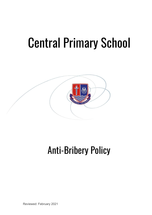# Central Primary School



# Anti-Bribery Policy

Reviewed: February 2021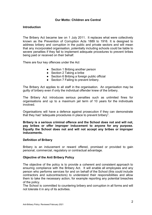# **Our Motto: Children are Central**

# **Introduction**

The Bribery Act became law on 1 July 2011. It replaces what were collectively known as the Prevention of Corruption Acts 1889 to 1916. It is designed to address bribery and corruption in the public and private sectors and will mean that any incorporated organisation, potentially including schools could be liable to severe penalties if they fail to implement adequate procedures to prevent bribes being paid or received on their behalf.

There are four key offences under the Act

- Section 1 Bribing another person
- Section 2 Taking a bribe
- Section 6 Bribing a foreign public official
- Section 7 Failing to prevent bribery.

The Bribery Act applies to all staff in the organisation. An organisation may be guilty of bribery even if only the individual offender knew of the bribery.

The Bribery Act introduces serious penalties such as unlimited fines for organisations and up to a maximum jail term of 10 years for the individuals involved.

Organisations will have a defence against prosecution if they can demonstrate that they had "adequate procedures in place to prevent bribery".

**Bribery is a serious criminal offence and the School does not and will not, pay bribes or offer improper inducement to anyone for any purpose. Equally the School does not and will not accept any bribes or improper inducements.**

#### **Definition of Bribery**

Bribery is an inducement or reward offered, promised or provided to gain personal, commercial, regulatory or contractual advantage.

#### **Objective of the Anti Bribery Policy**

The objective of the policy is to provide a coherent and consistent approach to ensuring compliance with the Bribery Act. It will enable all employees and any person who performs services for and on behalf of the School (this could include contractors and subcontractors) to understand their responsibilities and allow them to take the necessary action, for example reporting any potential breaches of the policy.

The School is committed to countering bribery and corruption in all forms and will not tolerate it in any of its activities.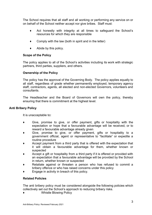The School requires that all staff and all working or performing any service on or on behalf of the School neither accept nor give bribes. Staff must:

- ♦ Act honestly with integrity at all times to safeguard the School's resources for which they are responsible
- $\bullet$  Comply with the law (both in spirit and in the letter)
- $\blacklozenge$  Abide by this policy.

# **Scope of the Policy**

The policy applies to all of the School's activities including its work with strategic partners, third parties, suppliers, and others.

# **Ownership of the Policy**

The policy has the approval of the Governing Body. The policy applies equally to all staff, regardless of grade whether permanently employed, temporary agency staff, contractors, agents, all elected and non-elected Governors, volunteers and consultants.

The Headteacher and the Board of Governors will own the policy, thereby ensuring that there is commitment at the highest level.

# **Anti Bribery Policy**

It is unacceptable to**:**

- ♦ Give, promise to give, or offer payment, gifts or hospitality with the expectation or hope that a favourable advantage will be received, or to reward a favourable advantage already given
- Give, promise to give, or offer payment, gifts or hospitality to a government official, agent or representative to "facilitate" or expedite a routine procedure
- Accept payment from a third party that is offered with the expectation that it will obtain a favourable advantage for them, whether known or suspected
- Accept a gift or hospitality from a third party if it is offered or provided with an expectation that a favourable advantage will be provided by the School in return, whether known or suspected
- Retaliate against or threaten a person who has refused to commit a bribery offence or who has raised concerns under this policy
- Engage in activity in breach of this policy.

# **Related Policies**

The anti bribery policy must be considered alongside the following policies which collectively set out the School's approach to reducing bribery risks.

♦ Whistle Blowing Policy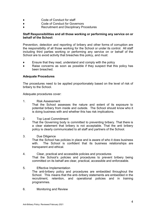- ♦ Code of Conduct for staff
- Code of Conduct for Governors
- Recruitment and Disciplinary Procedures

# **Staff Responsibilities and all those working or performing any service on or behalf of the School:**

Prevention, detection and reporting of bribery and other forms of corruption are the responsibility of all those working for the School or under its control. All staff including third parties working or performing any service on or behalf of the School are to avoid activity that breaches this policy, and must:

- $\bullet$  Ensure that they read, understand and comply with the policy
- ♦ Raise concerns as soon as possible if they suspect that this policy has been breached.

# **Adequate Procedures**

The procedures need to be applied proportionately based on the level of risk of bribery to the School.

Adequate procedures cover:

1. Risk Assessment

That the School assesses the nature and extent of its exposure to potential bribery from inside and outside. The School should know who it is doing business with and whether this has risk implications.

2. Top Level Commitment

That the Governing body is committed to preventing bribery. That there is a clear statement that bribery is not acceptable. That the anti bribery policy is clearly communicated to all staff and partners of the School.

- 3. Due Diligence That the School has policies in place and is aware of who it does business with. The School is confident that its business relationships are transparent and ethical.
- 4. Clear, practical and accessible policies and procedures That the School's policies and procedures to prevent bribery being committed on its behalf are clear, practical, accessible and enforceable.
- 5. Effective Implementation The anti-bribery policy and procedures are embedded throughout the School. This means that the anti–bribery statements are embedded in the recruitment, retention, and operational policies and in training programmes.
- 6. Monitoring and Review